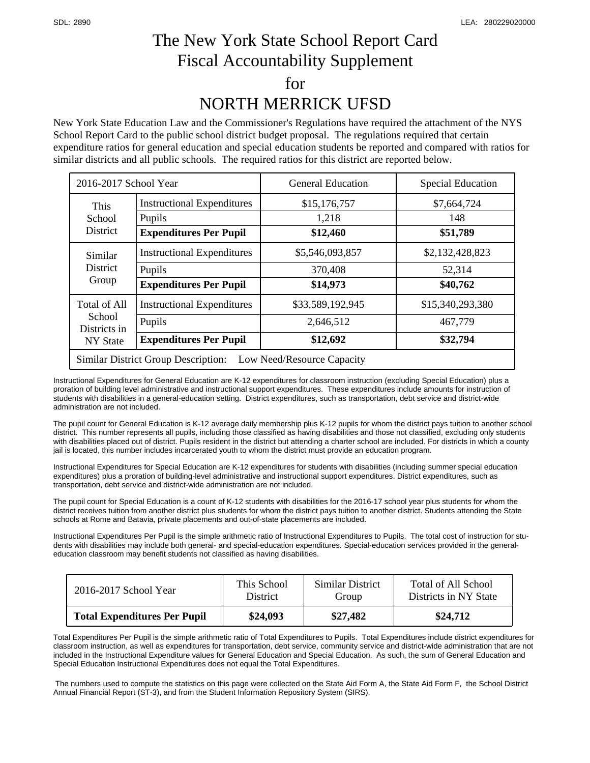## The New York State School Report Card Fiscal Accountability Supplement for NORTH MERRICK UFSD

New York State Education Law and the Commissioner's Regulations have required the attachment of the NYS School Report Card to the public school district budget proposal. The regulations required that certain expenditure ratios for general education and special education students be reported and compared with ratios for similar districts and all public schools. The required ratios for this district are reported below.

| 2016-2017 School Year                                                    |                                                                              | <b>General Education</b>                  | <b>Special Education</b>                |  |  |  |
|--------------------------------------------------------------------------|------------------------------------------------------------------------------|-------------------------------------------|-----------------------------------------|--|--|--|
| <b>This</b><br>School<br><b>District</b>                                 | <b>Instructional Expenditures</b><br>Pupils<br><b>Expenditures Per Pupil</b> | \$15,176,757<br>1,218<br>\$12,460         | \$7,664,724<br>148<br>\$51,789          |  |  |  |
| Similar<br><b>District</b><br>Group                                      | <b>Instructional Expenditures</b><br>Pupils<br><b>Expenditures Per Pupil</b> | \$5,546,093,857<br>370,408<br>\$14,973    | \$2,132,428,823<br>52,314<br>\$40,762   |  |  |  |
| Total of All<br>School<br>Districts in<br><b>NY State</b>                | <b>Instructional Expenditures</b><br>Pupils<br><b>Expenditures Per Pupil</b> | \$33,589,192,945<br>2,646,512<br>\$12,692 | \$15,340,293,380<br>467,779<br>\$32,794 |  |  |  |
| <b>Similar District Group Description:</b><br>Low Need/Resource Capacity |                                                                              |                                           |                                         |  |  |  |

Instructional Expenditures for General Education are K-12 expenditures for classroom instruction (excluding Special Education) plus a proration of building level administrative and instructional support expenditures. These expenditures include amounts for instruction of students with disabilities in a general-education setting. District expenditures, such as transportation, debt service and district-wide administration are not included.

The pupil count for General Education is K-12 average daily membership plus K-12 pupils for whom the district pays tuition to another school district. This number represents all pupils, including those classified as having disabilities and those not classified, excluding only students with disabilities placed out of district. Pupils resident in the district but attending a charter school are included. For districts in which a county jail is located, this number includes incarcerated youth to whom the district must provide an education program.

Instructional Expenditures for Special Education are K-12 expenditures for students with disabilities (including summer special education expenditures) plus a proration of building-level administrative and instructional support expenditures. District expenditures, such as transportation, debt service and district-wide administration are not included.

The pupil count for Special Education is a count of K-12 students with disabilities for the 2016-17 school year plus students for whom the district receives tuition from another district plus students for whom the district pays tuition to another district. Students attending the State schools at Rome and Batavia, private placements and out-of-state placements are included.

Instructional Expenditures Per Pupil is the simple arithmetic ratio of Instructional Expenditures to Pupils. The total cost of instruction for students with disabilities may include both general- and special-education expenditures. Special-education services provided in the generaleducation classroom may benefit students not classified as having disabilities.

| 2016-2017 School Year               | This School     | Similar District | Total of All School   |
|-------------------------------------|-----------------|------------------|-----------------------|
|                                     | <b>District</b> | Group            | Districts in NY State |
| <b>Total Expenditures Per Pupil</b> | \$24,093        | \$27,482         | \$24,712              |

Total Expenditures Per Pupil is the simple arithmetic ratio of Total Expenditures to Pupils. Total Expenditures include district expenditures for classroom instruction, as well as expenditures for transportation, debt service, community service and district-wide administration that are not included in the Instructional Expenditure values for General Education and Special Education. As such, the sum of General Education and Special Education Instructional Expenditures does not equal the Total Expenditures.

 The numbers used to compute the statistics on this page were collected on the State Aid Form A, the State Aid Form F, the School District Annual Financial Report (ST-3), and from the Student Information Repository System (SIRS).